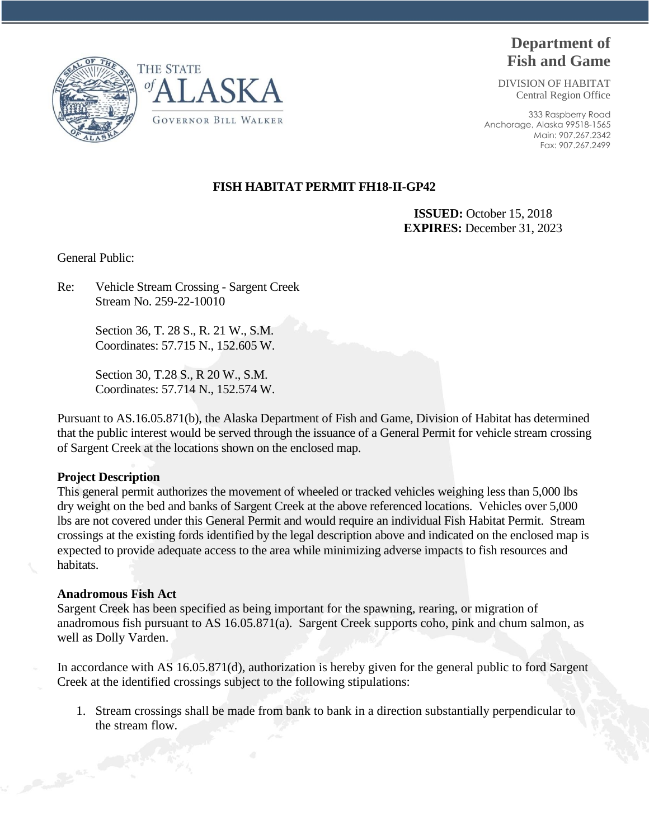



## **Department of Fish and Game**

DIVISION OF HABITAT Central Region Office

333 Raspberry Road Anchorage, Alaska 99518-1565 Main: 907.267.2342 Fax: 907.267.2499

## **FISH HABITAT PERMIT FH18-II-GP42**

 **ISSUED:** October 15, 2018 **EXPIRES:** December 31, 2023

General Public:

Re: Vehicle Stream Crossing - Sargent Creek Stream No. 259-22-10010

> Section 36, T. 28 S., R. 21 W., S.M. Coordinates: 57.715 N., 152.605 W.

> Section 30, T.28 S., R 20 W., S.M. Coordinates: 57.714 N., 152.574 W.

Pursuant to AS.16.05.871(b), the Alaska Department of Fish and Game, Division of Habitat has determined that the public interest would be served through the issuance of a General Permit for vehicle stream crossing of Sargent Creek at the locations shown on the enclosed map.

## **Project Description**

This general permit authorizes the movement of wheeled or tracked vehicles weighing less than 5,000 lbs dry weight on the bed and banks of Sargent Creek at the above referenced locations. Vehicles over 5,000 lbs are not covered under this General Permit and would require an individual Fish Habitat Permit. Stream crossings at the existing fords identified by the legal description above and indicated on the enclosed map is expected to provide adequate access to the area while minimizing adverse impacts to fish resources and habitats.

## **Anadromous Fish Act**

Sargent Creek has been specified as being important for the spawning, rearing, or migration of anadromous fish pursuant to AS 16.05.871(a). Sargent Creek supports coho, pink and chum salmon, as well as Dolly Varden.

In accordance with AS 16.05.871(d), authorization is hereby given for the general public to ford Sargent Creek at the identified crossings subject to the following stipulations:

1. Stream crossings shall be made from bank to bank in a direction substantially perpendicular to the stream flow.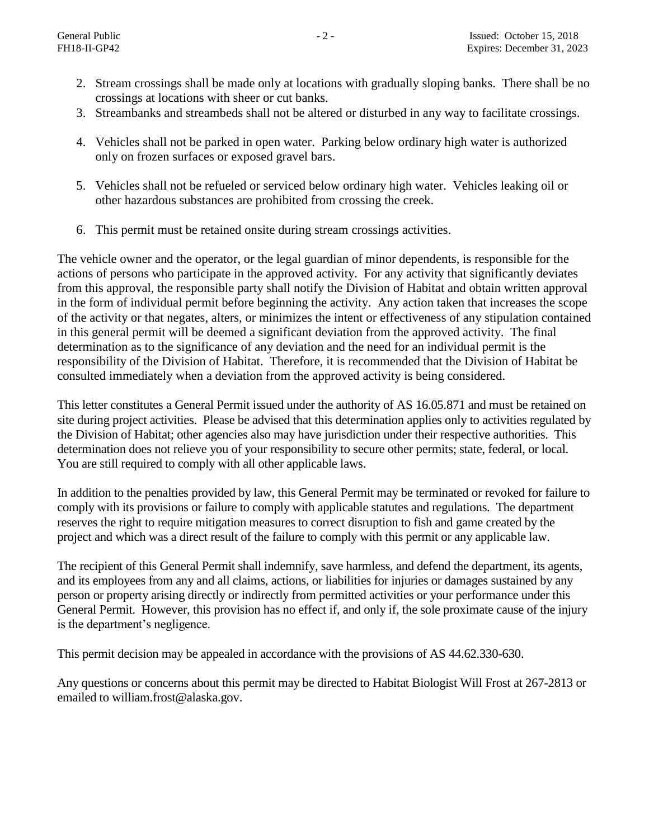- 2. Stream crossings shall be made only at locations with gradually sloping banks. There shall be no crossings at locations with sheer or cut banks.
- 3. Streambanks and streambeds shall not be altered or disturbed in any way to facilitate crossings.
- 4. Vehicles shall not be parked in open water. Parking below ordinary high water is authorized only on frozen surfaces or exposed gravel bars.
- 5. Vehicles shall not be refueled or serviced below ordinary high water. Vehicles leaking oil or other hazardous substances are prohibited from crossing the creek.
- 6. This permit must be retained onsite during stream crossings activities.

The vehicle owner and the operator, or the legal guardian of minor dependents, is responsible for the actions of persons who participate in the approved activity. For any activity that significantly deviates from this approval, the responsible party shall notify the Division of Habitat and obtain written approval in the form of individual permit before beginning the activity. Any action taken that increases the scope of the activity or that negates, alters, or minimizes the intent or effectiveness of any stipulation contained in this general permit will be deemed a significant deviation from the approved activity. The final determination as to the significance of any deviation and the need for an individual permit is the responsibility of the Division of Habitat. Therefore, it is recommended that the Division of Habitat be consulted immediately when a deviation from the approved activity is being considered.

This letter constitutes a General Permit issued under the authority of AS 16.05.871 and must be retained on site during project activities. Please be advised that this determination applies only to activities regulated by the Division of Habitat; other agencies also may have jurisdiction under their respective authorities. This determination does not relieve you of your responsibility to secure other permits; state, federal, or local. You are still required to comply with all other applicable laws.

In addition to the penalties provided by law, this General Permit may be terminated or revoked for failure to comply with its provisions or failure to comply with applicable statutes and regulations. The department reserves the right to require mitigation measures to correct disruption to fish and game created by the project and which was a direct result of the failure to comply with this permit or any applicable law.

The recipient of this General Permit shall indemnify, save harmless, and defend the department, its agents, and its employees from any and all claims, actions, or liabilities for injuries or damages sustained by any person or property arising directly or indirectly from permitted activities or your performance under this General Permit. However, this provision has no effect if, and only if, the sole proximate cause of the injury is the department's negligence.

This permit decision may be appealed in accordance with the provisions of AS 44.62.330-630.

Any questions or concerns about this permit may be directed to Habitat Biologist Will Frost at 267-2813 or emailed to william.frost@alaska.gov.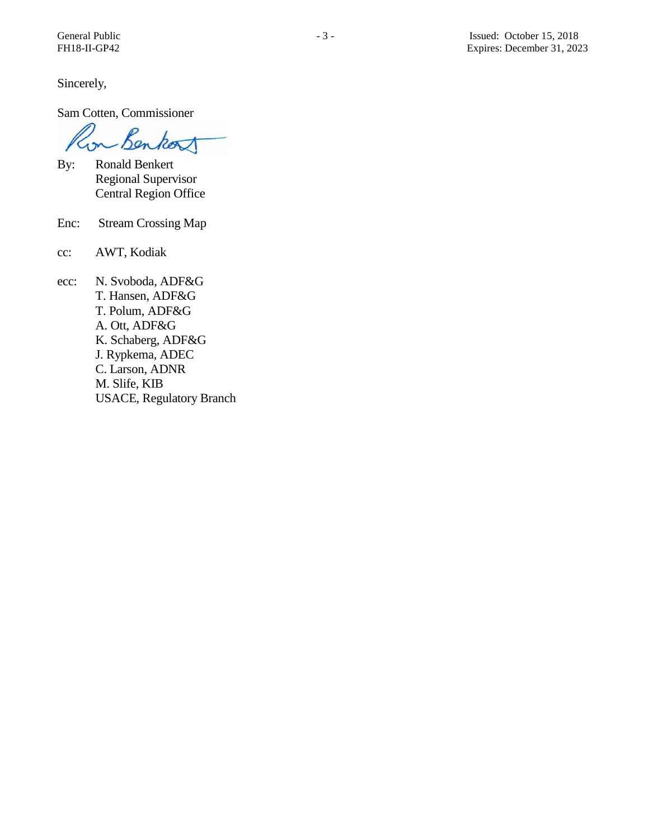Sincerely,

Sam Cotten, Commissioner

Benkort  $\sim$ 

- By: Ronald Benkert Regional Supervisor Central Region Office
- Enc: Stream Crossing Map
- cc: AWT, Kodiak
- ecc: N. Svoboda, ADF&G T. Hansen, ADF&G T. Polum, ADF&G A. Ott, ADF&G K. Schaberg, ADF&G J. Rypkema, ADEC C. Larson, ADNR M. Slife, KIB USACE, Regulatory Branch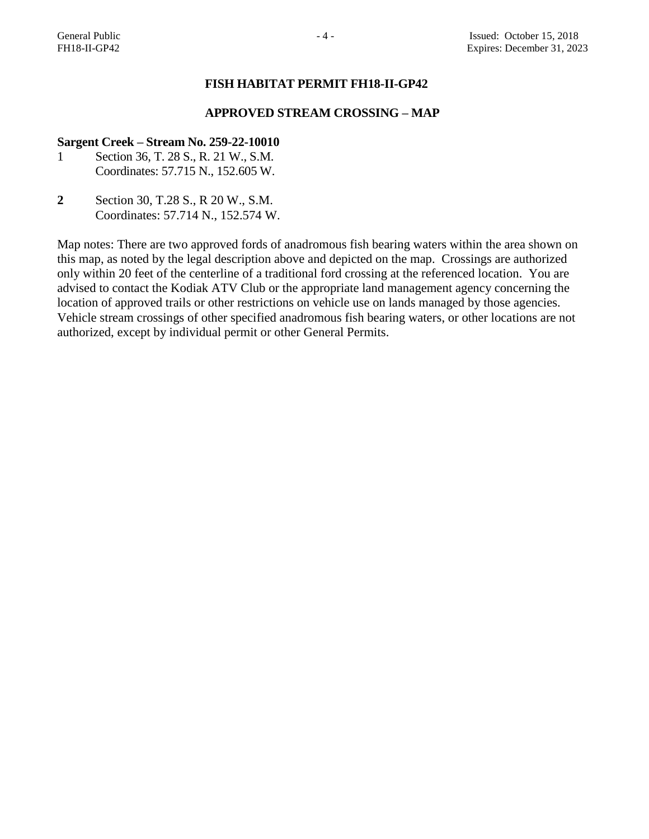#### **FISH HABITAT PERMIT FH18-II-GP42**

### **APPROVED STREAM CROSSING – MAP**

#### **Sargent Creek – Stream No. 259-22-10010**

- 1 Section 36, T. 28 S., R. 21 W., S.M. Coordinates: 57.715 N., 152.605 W.
- **2** Section 30, T.28 S., R 20 W., S.M. Coordinates: 57.714 N., 152.574 W.

Map notes: There are two approved fords of anadromous fish bearing waters within the area shown on this map, as noted by the legal description above and depicted on the map. Crossings are authorized only within 20 feet of the centerline of a traditional ford crossing at the referenced location. You are advised to contact the Kodiak ATV Club or the appropriate land management agency concerning the location of approved trails or other restrictions on vehicle use on lands managed by those agencies. Vehicle stream crossings of other specified anadromous fish bearing waters, or other locations are not authorized, except by individual permit or other General Permits.